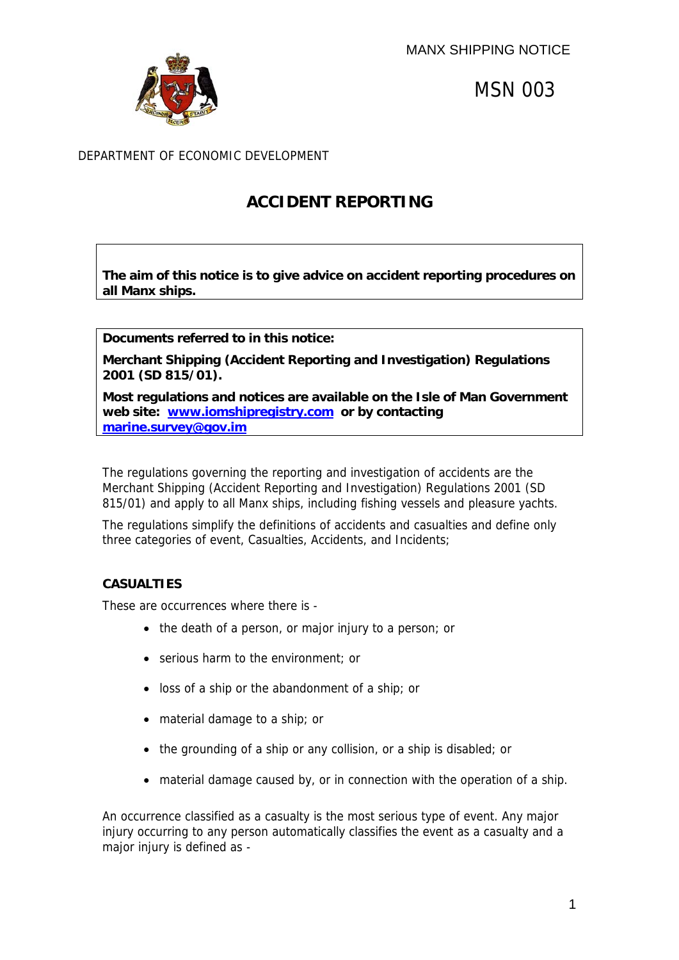MANX SHIPPING NOTICE



MSN 003

DEPARTMENT OF ECONOMIC DEVELOPMENT

# **ACCIDENT REPORTING**

**The aim of this notice is to give advice on accident reporting procedures on all Manx ships.** 

**Documents referred to in this notice:** 

**Merchant Shipping (Accident Reporting and Investigation) Regulations 2001 (SD 815/01).** 

**Most regulations and notices are available on the Isle of Man Government web site: www.iomshipregistry.com or by contacting marine.survey@gov.im**

The regulations governing the reporting and investigation of accidents are the Merchant Shipping (Accident Reporting and Investigation) Regulations 2001 (SD 815/01) and apply to all Manx ships, including fishing vessels and pleasure yachts.

The regulations simplify the definitions of accidents and casualties and define only three categories of event, Casualties, Accidents, and Incidents;

## **CASUALTIES**

These are occurrences where there is -

- the death of a person, or major injury to a person; or
- serious harm to the environment; or
- loss of a ship or the abandonment of a ship; or
- material damage to a ship; or
- the grounding of a ship or any collision, or a ship is disabled; or
- material damage caused by, or in connection with the operation of a ship.

An occurrence classified as a casualty is the most serious type of event. Any major injury occurring to any person automatically classifies the event as a casualty and a major injury is defined as -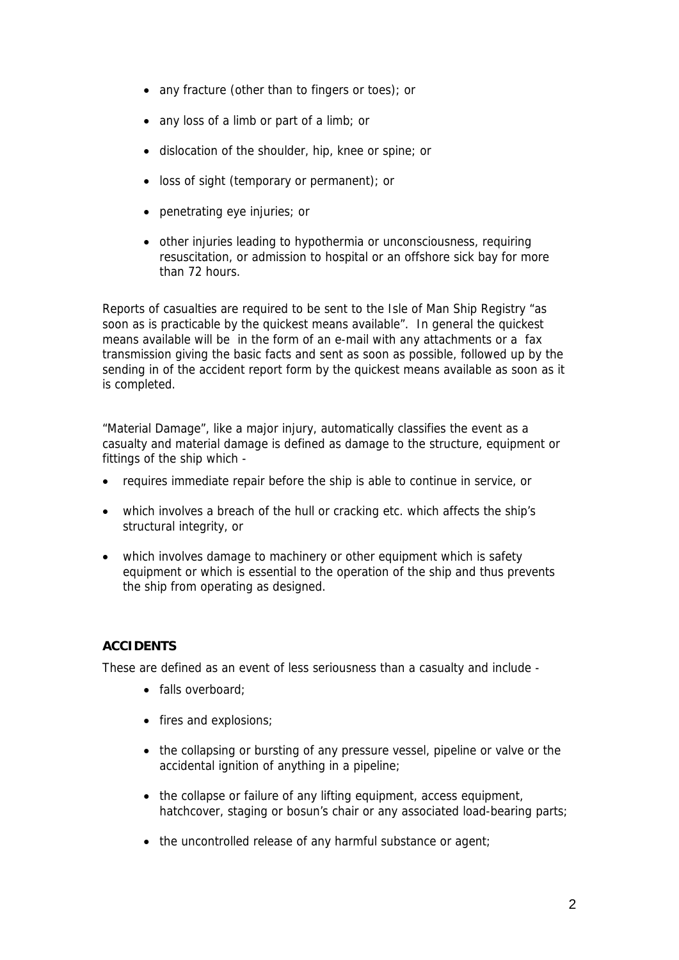- any fracture (other than to fingers or toes); or
- any loss of a limb or part of a limb; or
- dislocation of the shoulder, hip, knee or spine; or
- loss of sight (temporary or permanent); or
- penetrating eye injuries; or
- other injuries leading to hypothermia or unconsciousness, requiring resuscitation, or admission to hospital or an offshore sick bay for more than 72 hours.

Reports of casualties are required to be sent to the Isle of Man Ship Registry "as soon as is practicable by the quickest means available". In general the quickest means available will be in the form of an e-mail with any attachments or a fax transmission giving the basic facts and sent as soon as possible, followed up by the sending in of the accident report form by the quickest means available as soon as it is completed.

"Material Damage", like a major injury, automatically classifies the event as a casualty and material damage is defined as damage to the structure, equipment or fittings of the ship which -

- requires immediate repair before the ship is able to continue in service, or
- which involves a breach of the hull or cracking etc. which affects the ship's structural integrity, or
- which involves damage to machinery or other equipment which is safety equipment or which is essential to the operation of the ship and thus prevents the ship from operating as designed.

## **ACCIDENTS**

These are defined as an event of less seriousness than a casualty and include -

- falls overboard;
- fires and explosions;
- the collapsing or bursting of any pressure vessel, pipeline or valve or the accidental ignition of anything in a pipeline;
- the collapse or failure of any lifting equipment, access equipment, hatchcover, staging or bosun's chair or any associated load-bearing parts;
- the uncontrolled release of any harmful substance or agent;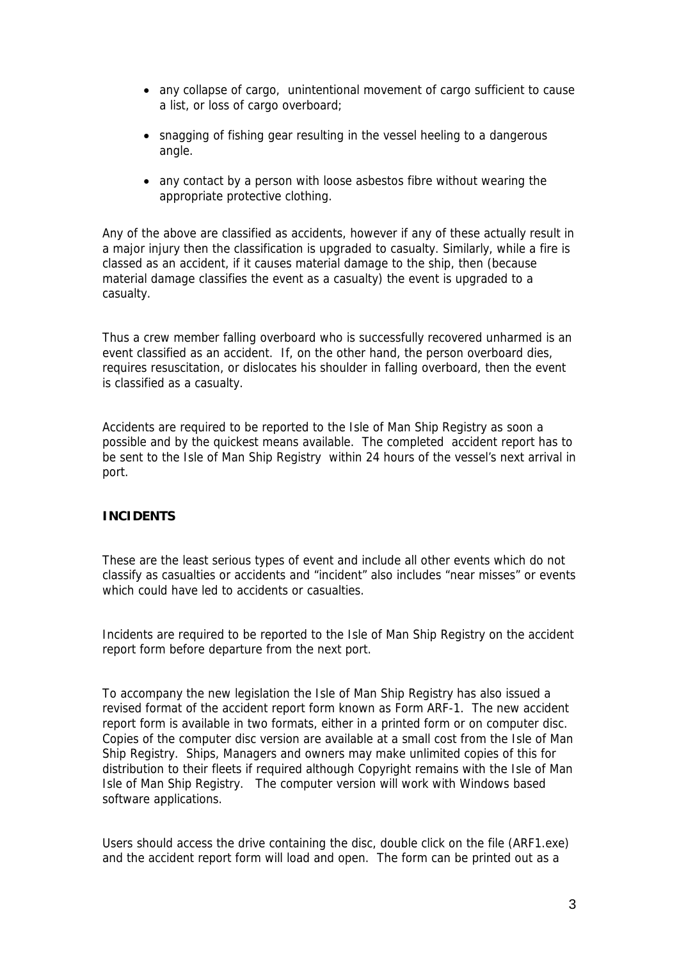- any collapse of cargo, unintentional movement of cargo sufficient to cause a list, or loss of cargo overboard;
- snagging of fishing gear resulting in the vessel heeling to a dangerous angle.
- any contact by a person with loose asbestos fibre without wearing the appropriate protective clothing.

Any of the above are classified as accidents, however if any of these actually result in a major injury then the classification is upgraded to casualty. Similarly, while a fire is classed as an accident, if it causes material damage to the ship, then (because material damage classifies the event as a casualty) the event is upgraded to a casualty.

Thus a crew member falling overboard who is successfully recovered unharmed is an event classified as an accident. If, on the other hand, the person overboard dies, requires resuscitation, or dislocates his shoulder in falling overboard, then the event is classified as a casualty.

Accidents are required to be reported to the Isle of Man Ship Registry as soon a possible and by the quickest means available. The completed accident report has to be sent to the Isle of Man Ship Registry within 24 hours of the vessel's next arrival in port.

## **INCIDENTS**

These are the least serious types of event and include all other events which do not classify as casualties or accidents and "incident" also includes "near misses" or events which could have led to accidents or casualties.

Incidents are required to be reported to the Isle of Man Ship Registry on the accident report form before departure from the next port.

To accompany the new legislation the Isle of Man Ship Registry has also issued a revised format of the accident report form known as Form ARF-1. The new accident report form is available in two formats, either in a printed form or on computer disc. Copies of the computer disc version are available at a small cost from the Isle of Man Ship Registry. Ships, Managers and owners may make unlimited copies of this for distribution to their fleets if required although Copyright remains with the Isle of Man Isle of Man Ship Registry. The computer version will work with Windows based software applications.

Users should access the drive containing the disc, double click on the file (ARF1.exe) and the accident report form will load and open. The form can be printed out as a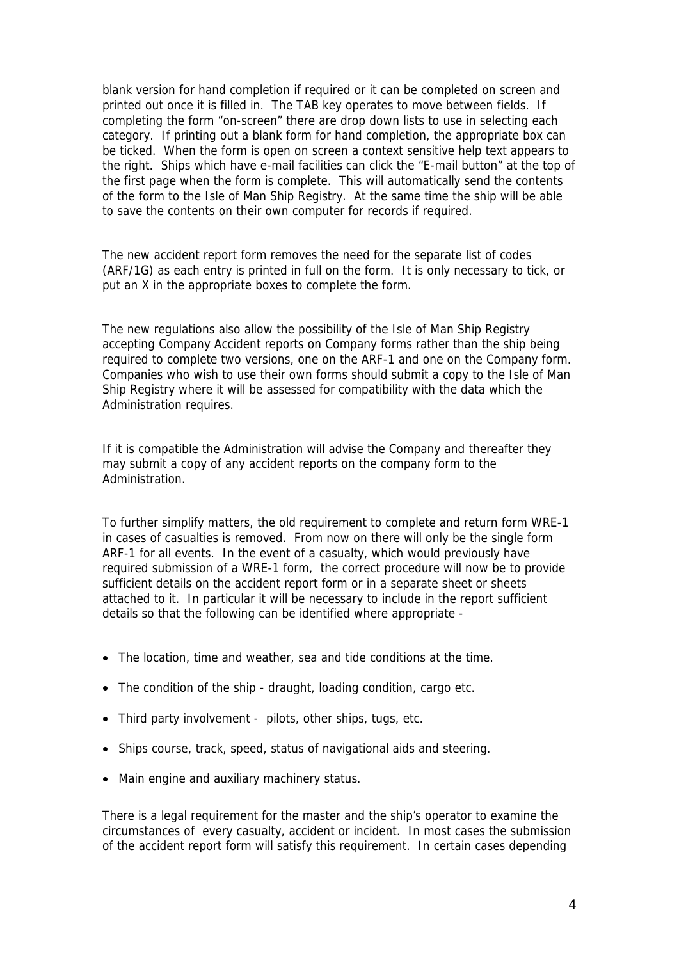blank version for hand completion if required or it can be completed on screen and printed out once it is filled in. The TAB key operates to move between fields. If completing the form "on-screen" there are drop down lists to use in selecting each category. If printing out a blank form for hand completion, the appropriate box can be ticked. When the form is open on screen a context sensitive help text appears to the right. Ships which have e-mail facilities can click the "E-mail button" at the top of the first page when the form is complete. This will automatically send the contents of the form to the Isle of Man Ship Registry. At the same time the ship will be able to save the contents on their own computer for records if required.

The new accident report form removes the need for the separate list of codes (ARF/1G) as each entry is printed in full on the form. It is only necessary to tick, or put an X in the appropriate boxes to complete the form.

The new regulations also allow the possibility of the Isle of Man Ship Registry accepting Company Accident reports on Company forms rather than the ship being required to complete two versions, one on the ARF-1 and one on the Company form. Companies who wish to use their own forms should submit a copy to the Isle of Man Ship Registry where it will be assessed for compatibility with the data which the Administration requires.

If it is compatible the Administration will advise the Company and thereafter they may submit a copy of any accident reports on the company form to the Administration.

To further simplify matters, the old requirement to complete and return form WRE-1 in cases of casualties is removed. From now on there will only be the single form ARF-1 for all events. In the event of a casualty, which would previously have required submission of a WRE-1 form, the correct procedure will now be to provide sufficient details on the accident report form or in a separate sheet or sheets attached to it. In particular it will be necessary to include in the report sufficient details so that the following can be identified where appropriate -

- The location, time and weather, sea and tide conditions at the time.
- The condition of the ship draught, loading condition, cargo etc.
- Third party involvement pilots, other ships, tugs, etc.
- Ships course, track, speed, status of navigational aids and steering.
- Main engine and auxiliary machinery status.

There is a legal requirement for the master and the ship's operator to examine the circumstances of every casualty, accident or incident. In most cases the submission of the accident report form will satisfy this requirement. In certain cases depending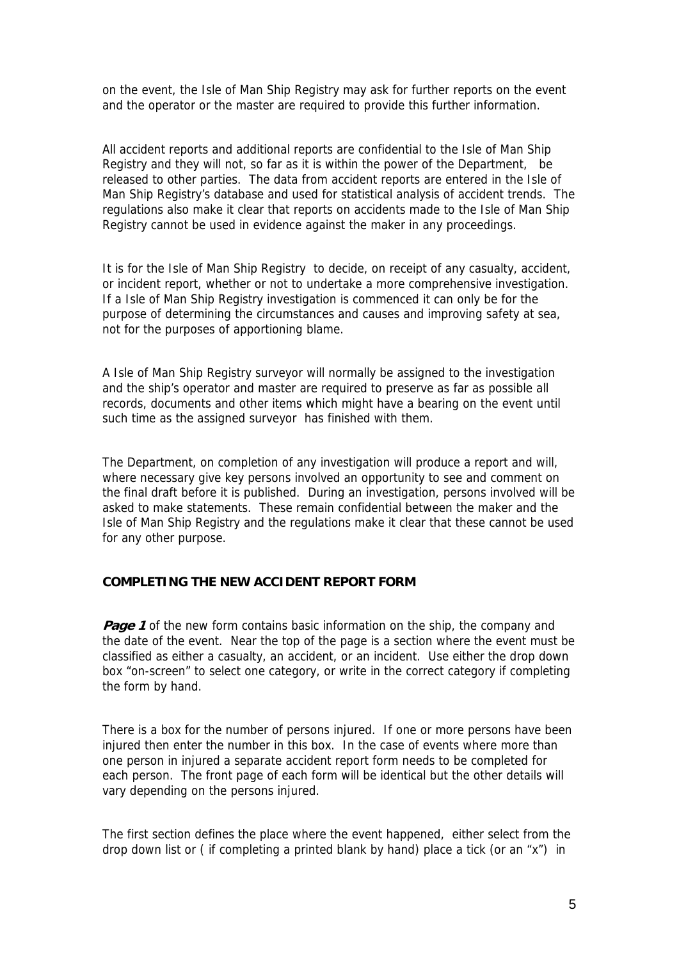on the event, the Isle of Man Ship Registry may ask for further reports on the event and the operator or the master are required to provide this further information.

All accident reports and additional reports are confidential to the Isle of Man Ship Registry and they will not, so far as it is within the power of the Department, be released to other parties. The data from accident reports are entered in the Isle of Man Ship Registry's database and used for statistical analysis of accident trends. The regulations also make it clear that reports on accidents made to the Isle of Man Ship Registry cannot be used in evidence against the maker in any proceedings.

It is for the Isle of Man Ship Registry to decide, on receipt of any casualty, accident, or incident report, whether or not to undertake a more comprehensive investigation. If a Isle of Man Ship Registry investigation is commenced it can only be for the purpose of determining the circumstances and causes and improving safety at sea, not for the purposes of apportioning blame.

A Isle of Man Ship Registry surveyor will normally be assigned to the investigation and the ship's operator and master are required to preserve as far as possible all records, documents and other items which might have a bearing on the event until such time as the assigned surveyor has finished with them.

The Department, on completion of any investigation will produce a report and will, where necessary give key persons involved an opportunity to see and comment on the final draft before it is published. During an investigation, persons involved will be asked to make statements. These remain confidential between the maker and the Isle of Man Ship Registry and the regulations make it clear that these cannot be used for any other purpose.

#### **COMPLETING THE NEW ACCIDENT REPORT FORM**

**Page 1** of the new form contains basic information on the ship, the company and the date of the event. Near the top of the page is a section where the event must be classified as either a casualty, an accident, or an incident. Use either the drop down box "on-screen" to select one category, or write in the correct category if completing the form by hand.

There is a box for the number of persons injured. If one or more persons have been injured then enter the number in this box. In the case of events where more than one person in injured a separate accident report form needs to be completed for each person. The front page of each form will be identical but the other details will vary depending on the persons injured.

The first section defines the place where the event happened, either select from the drop down list or ( if completing a printed blank by hand) place a tick (or an "x") in